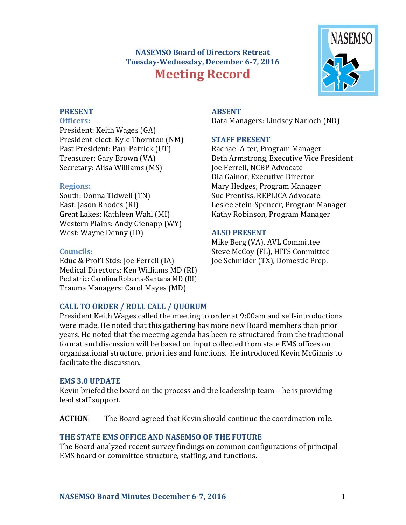# **NASEMSO Board of Directors Retreat** Tuesday-Wednesday, December 6-7, 2016 **Meeting Record**



# **PRESENT**

**Officers:**

President: Keith Wages (GA) President-elect: Kyle Thornton (NM) Past President: Paul Patrick (UT) Treasurer: Gary Brown (VA) Secretary: Alisa Williams (MS)

# **Regions:**

South: Donna Tidwell (TN) East: Jason Rhodes (RI) Great Lakes: Kathleen Wahl (MI) Western Plains: Andy Gienapp (WY) West: Wayne Denny (ID)

# **Councils:**

Educ & Prof'l Stds: Joe Ferrell (IA) Medical Directors: Ken Williams MD (RI) Pediatric: Carolina Roberts-Santana MD (RI) Trauma Managers: Carol Mayes (MD)

# **CALL TO ORDER / ROLL CALL / QUORUM**

President Keith Wages called the meeting to order at 9:00am and self-introductions were made. He noted that this gathering has more new Board members than prior years. He noted that the meeting agenda has been re-structured from the traditional format and discussion will be based on input collected from state EMS offices on organizational structure, priorities and functions. He introduced Kevin McGinnis to facilitate the discussion.

### **EMS 3.0 UPDATE**

Kevin briefed the board on the process and the leadership team  $-$  he is providing lead staff support.

**ACTION:** The Board agreed that Kevin should continue the coordination role.

# THE STATE EMS OFFICE AND NASEMSO OF THE FUTURE

The Board analyzed recent survey findings on common configurations of principal EMS board or committee structure, staffing, and functions.

# **ABSENT**

Data Managers: Lindsey Narloch (ND)

# **STAFF PRESENT**

Rachael Alter, Program Manager Beth Armstrong, Executive Vice President Joe Ferrell, NCBP Advocate Dia Gainor, Executive Director Mary Hedges, Program Manager Sue Prentiss, REPLICA Advocate Leslee Stein-Spencer, Program Manager Kathy Robinson, Program Manager

# **ALSO PRESENT**

Mike Berg (VA), AVL Committee Steve McCoy (FL), HITS Committee Joe Schmider (TX), Domestic Prep.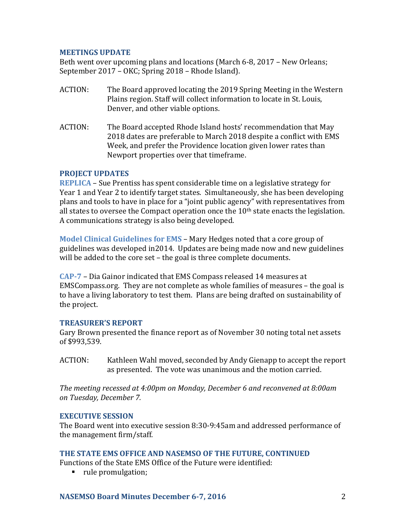#### **MEETINGS UPDATE**

Beth went over upcoming plans and locations (March 6-8, 2017 – New Orleans; September 2017 – OKC; Spring 2018 – Rhode Island).

- ACTION: The Board approved locating the 2019 Spring Meeting in the Western Plains region. Staff will collect information to locate in St. Louis, Denver, and other viable options.
- ACTION: The Board accepted Rhode Island hosts' recommendation that May 2018 dates are preferable to March 2018 despite a conflict with EMS Week, and prefer the Providence location given lower rates than Newport properties over that timeframe.

#### **PROJECT UPDATES**

**REPLICA** – Sue Prentiss has spent considerable time on a legislative strategy for Year 1 and Year 2 to identify target states. Simultaneously, she has been developing plans and tools to have in place for a "joint public agency" with representatives from all states to oversee the Compact operation once the  $10<sup>th</sup>$  state enacts the legislation. A communications strategy is also being developed.

**Model Clinical Guidelines for EMS – Mary Hedges noted that a core group of** guidelines was developed in2014. Updates are being made now and new guidelines will be added to the core set – the goal is three complete documents.

**CAP-7** – Dia Gainor indicated that EMS Compass released 14 measures at EMSCompass.org. They are not complete as whole families of measures – the goal is to have a living laboratory to test them. Plans are being drafted on sustainability of the project.

#### **TREASURER'S REPORT**

Gary Brown presented the finance report as of November 30 noting total net assets of \$993,539.

ACTION: Kathleen Wahl moved, seconded by Andy Gienapp to accept the report as presented. The vote was unanimous and the motion carried.

*The meeting recessed at 4:00pm on Monday, December 6 and reconvened at 8:00am on Tuesday, December 7.*

#### **EXECUTIVE SESSION**

The Board went into executive session 8:30-9:45am and addressed performance of the management firm/staff.

#### THE STATE EMS OFFICE AND NASEMSO OF THE FUTURE, CONTINUED

Functions of the State EMS Office of the Future were identified:

■ rule promulgation;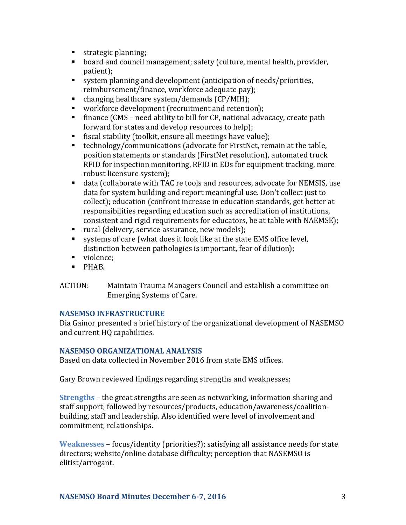- strategic planning;
- board and council management; safety (culture, mental health, provider, patient);
- system planning and development (anticipation of needs/priorities, reimbursement/finance, workforce adequate pay);
- $\blacksquare$  changing healthcare system/demands  $(CP/MIH)$ ;
- workforce development (recruitment and retention);
- **•** finance (CMS need ability to bill for CP, national advocacy, create path forward for states and develop resources to help);
- fiscal stability (toolkit, ensure all meetings have value);
- technology/communications (advocate for FirstNet, remain at the table, position statements or standards (FirstNet resolution), automated truck RFID for inspection monitoring, RFID in EDs for equipment tracking, more robust licensure system);
- data (collaborate with TAC re tools and resources, advocate for NEMSIS, use data for system building and report meaningful use. Don't collect just to collect); education (confront increase in education standards, get better at responsibilities regarding education such as accreditation of institutions, consistent and rigid requirements for educators, be at table with NAEMSE);
- rural (delivery, service assurance, new models);
- systems of care (what does it look like at the state EMS office level, distinction between pathologies is important, fear of dilution);
- violence;
- § PHAB.
- ACTION: Maintain Trauma Managers Council and establish a committee on Emerging Systems of Care.

### **NASEMSO INFRASTRUCTURE**

Dia Gainor presented a brief history of the organizational development of NASEMSO and current HQ capabilities.

### **NASEMSO ORGANIZATIONAL ANALYSIS**

Based on data collected in November 2016 from state EMS offices.

Gary Brown reviewed findings regarding strengths and weaknesses:

**Strengths** – the great strengths are seen as networking, information sharing and staff support; followed by resources/products, education/awareness/coalitionbuilding, staff and leadership. Also identified were level of involvement and commitment; relationships.

**Weaknesses** – focus/identity (priorities?); satisfying all assistance needs for state directors; website/online database difficulty; perception that NASEMSO is elitist/arrogant.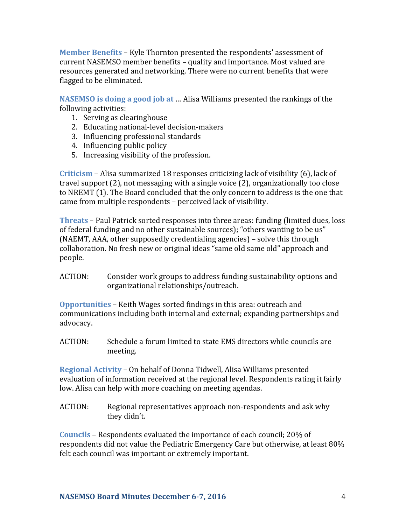**Member Benefits** – Kyle Thornton presented the respondents' assessment of current NASEMSO member benefits - quality and importance. Most valued are resources generated and networking. There were no current benefits that were flagged to be eliminated.

**NASEMSO** is doing a good job at ... Alisa Williams presented the rankings of the following activities:

- 1. Serving as clearinghouse
- 2. Educating national-level decision-makers
- 3. Influencing professional standards
- 4. Influencing public policy
- 5. Increasing visibility of the profession.

**Criticism** – Alisa summarized 18 responses criticizing lack of visibility (6), lack of travel support  $(2)$ , not messaging with a single voice  $(2)$ , organizationally too close to NREMT (1). The Board concluded that the only concern to address is the one that came from multiple respondents - perceived lack of visibility.

**Threats** – Paul Patrick sorted responses into three areas: funding (limited dues, loss) of federal funding and no other sustainable sources); "others wanting to be us" (NAEMT, AAA, other supposedly credentialing agencies) – solve this through collaboration. No fresh new or original ideas "same old same old" approach and people.

ACTION: Consider work groups to address funding sustainability options and organizational relationships/outreach.

**Opportunities** – Keith Wages sorted findings in this area: outreach and communications including both internal and external; expanding partnerships and advocacy.

ACTION: Schedule a forum limited to state EMS directors while councils are meeting.

**Regional Activity** – On behalf of Donna Tidwell, Alisa Williams presented evaluation of information received at the regional level. Respondents rating it fairly low. Alisa can help with more coaching on meeting agendas.

ACTION: Regional representatives approach non-respondents and ask why they didn't.

**Councils** – Respondents evaluated the importance of each council; 20% of respondents did not value the Pediatric Emergency Care but otherwise, at least 80% felt each council was important or extremely important.